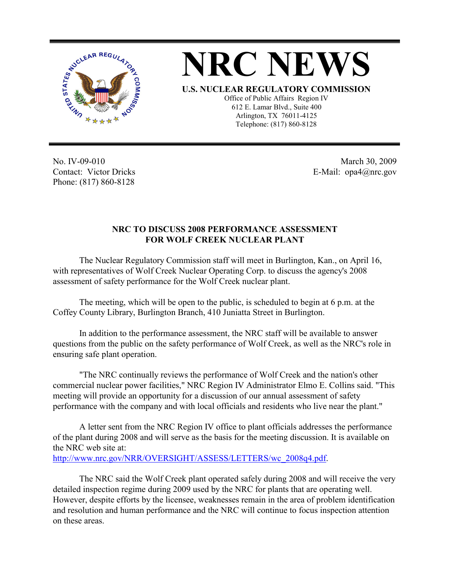



No. IV-09-010 Contact: Victor Dricks Phone: (817) 860-8128

 March 30, 2009 E-Mail: opa4@nrc.gov

## **NRC TO DISCUSS 2008 PERFORMANCE ASSESSMENT FOR WOLF CREEK NUCLEAR PLANT**

The Nuclear Regulatory Commission staff will meet in Burlington, Kan., on April 16, with representatives of Wolf Creek Nuclear Operating Corp. to discuss the agency's 2008 assessment of safety performance for the Wolf Creek nuclear plant.

The meeting, which will be open to the public, is scheduled to begin at 6 p.m. at the Coffey County Library, Burlington Branch, 410 Juniatta Street in Burlington.

In addition to the performance assessment, the NRC staff will be available to answer questions from the public on the safety performance of Wolf Creek, as well as the NRC's role in ensuring safe plant operation.

"The NRC continually reviews the performance of Wolf Creek and the nation's other commercial nuclear power facilities," NRC Region IV Administrator Elmo E. Collins said. "This meeting will provide an opportunity for a discussion of our annual assessment of safety performance with the company and with local officials and residents who live near the plant."

A letter sent from the NRC Region IV office to plant officials addresses the performance of the plant during 2008 and will serve as the basis for the meeting discussion. It is available on the NRC web site at: http://www.nrc.gov/NRR/OVERSIGHT/ASSESS/LETTERS/wc\_2008q4.pdf.

The NRC said the Wolf Creek plant operated safely during 2008 and will receive the very detailed inspection regime during 2009 used by the NRC for plants that are operating well. However, despite efforts by the licensee, weaknesses remain in the area of problem identification and resolution and human performance and the NRC will continue to focus inspection attention on these areas.